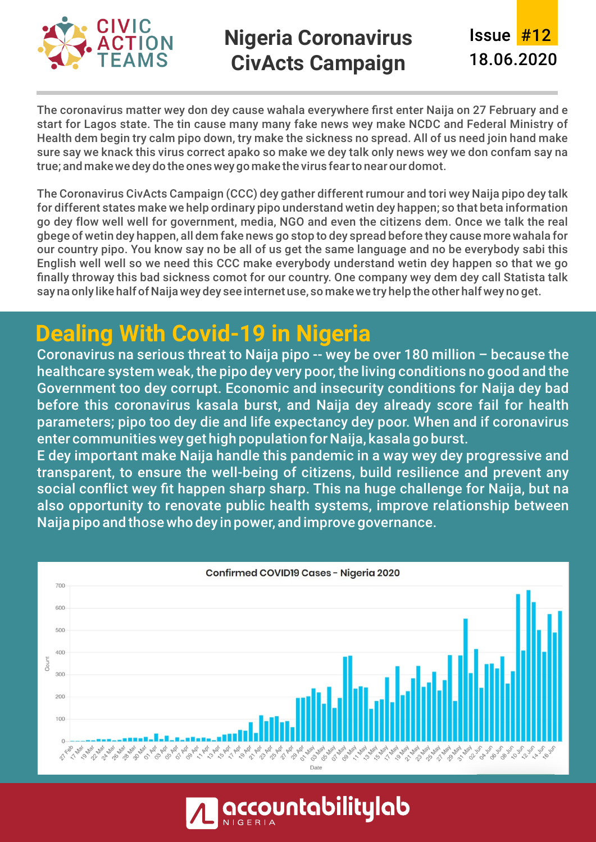

## **Nigeria Coronavirus CivActs Campaign**

18.06.2020 **Issue #12** 

The coronavirus matter wey don dey cause wahala everywhere first enter Naija on 27 February and e start for Lagos state. The tin cause many many fake news wey make NCDC and Federal Ministry of Health dem begin try calm pipo down, try make the sickness no spread. All of us need join hand make sure say we knack this virus correct apako so make we dey talk only news wey we don confam say na true; and make we dey do the ones wey go make the virus fear to near our domot.

The Coronavirus CivActs Campaign (CCC) dey gather different rumour and tori wey Naija pipo dey talk for different states make we help ordinary pipo understand wetin dey happen; so that beta information go dey flow well well for government, media, NGO and even the citizens dem. Once we talk the real gbege of wetin dey happen, all dem fake news go stop to dey spread before they cause more wahala for our country pipo. You know say no be all of us get the same language and no be everybody sabi this English well well so we need this CCC make everybody understand wetin dey happen so that we go finally throway this bad sickness comot for our country. One company wey dem dey call Statista talk say na only like half of Naija wey dey see internet use, so make we try help the other half wey no get.

## **Dealing With Covid-19 in Nigeria**

Coronavirus na serious threat to Naija pipo -- wey be over 180 million – because the healthcare system weak, the pipo dey very poor, the living conditions no good and the Government too dey corrupt. Economic and insecurity conditions for Naija dey bad before this coronavirus kasala burst, and Naija dey already score fail for health parameters; pipo too dey die and life expectancy dey poor. When and if coronavirus enter communities wey get high population for Naija, kasala go burst.

E dey important make Naija handle this pandemic in a way wey dey progressive and transparent, to ensure the well-being of citizens, build resilience and prevent any social conflict wey fit happen sharp sharp. This na huge challenge for Naija, but na also opportunity to renovate public health systems, improve relationship between Naija pipo and those who dey in power, and improve governance.



accountabilitylab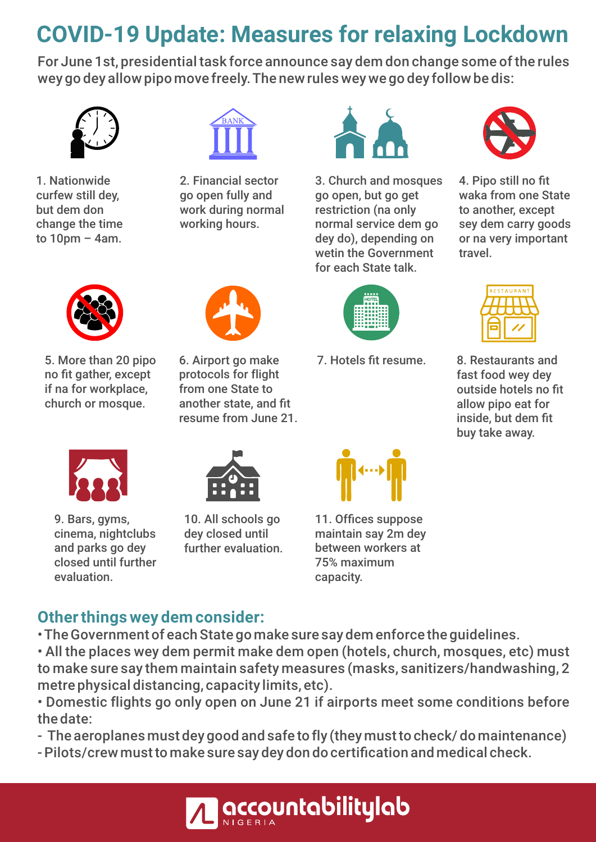## **COVID-19 Update: Measures for relaxing Lockdown**

For June 1st, presidential task force announce say dem don change some of the rules wey go dey allow pipo move freely. The new rules wey we go dey follow be dis:



1. Nationwide curfew still dey, but dem don change the time to 10pm – 4am.



2. Financial sector go open fully and work during normal working hours.



3. Church and mosques go open, but go get restriction (na only normal service dem go dey do), depending on wetin the Government for each State talk.



4. Pipo still no fit waka from one State to another, except sey dem carry goods or na very important travel.



5. More than 20 pipo no fit gather, except if na for workplace, church or mosque.



6. Airport go make protocols for flight from one State to another state, and fit resume from June 21.



7. Hotels fit resume.



8. Restaurants and fast food wey dey outside hotels no fit allow pipo eat for inside, but dem fit buy take away.



9. Bars, gyms, cinema, nightclubs and parks go dey closed until further evaluation.



10. All schools go dey closed until further evaluation.



11. Offices suppose maintain say 2m dey between workers at 75% maximum capacity.

### **Other things wey dem consider:**

- The Government of each State go make sure say dem enforce the guidelines.
- All the places wey dem permit make dem open (hotels, church, mosques, etc) must to make sure say them maintain safety measures (masks, sanitizers/handwashing, 2 metre physical distancing, capacity limits, etc).
- Domestic flights go only open on June 21 if airports meet some conditions before the date:
- The aeroplanes must dey good and safe to fly (they must to check/ do maintenance)
- Pilots/crew must to make sure say dey don do certification and medical check.

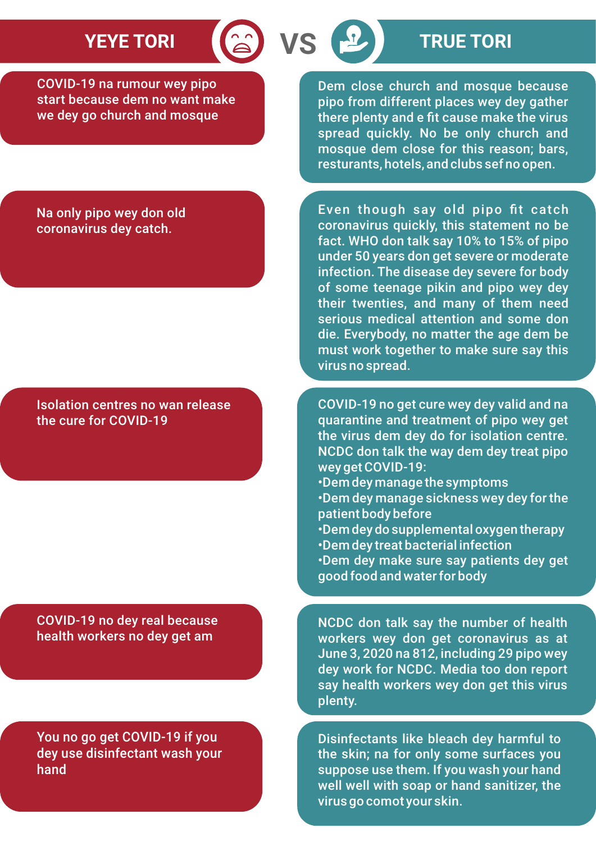COVID-19 na rumour wey pipo start because dem no want make we dey go church and mosque

Dem close church and mosque because pipo from different places wey dey gather there plenty and e fit cause make the virus spread quickly. No be only church and mosque dem close for this reason; bars, resturants, hotels, and clubs sef no open.

### Na only pipo wey don old coronavirus dey catch.

Isolation centres no wan release the cure for COVID-19

COVID-19 no dey real because health workers no dey get am

You no go get COVID-19 if you dey use disinfectant wash your hand

Even though say old pipo fit catch coronavirus quickly, this statement no be fact. WHO don talk say 10% to 15% of pipo under 50 years don get severe or moderate infection. The disease dey severe for body of some teenage pikin and pipo wey dey their twenties, and many of them need serious medical attention and some don die. Everybody, no matter the age dem be must work together to make sure say this virus no spread.

COVID-19 no get cure wey dey valid and na quarantine and treatment of pipo wey get the virus dem dey do for isolation centre. NCDC don talk the way dem dey treat pipo wey get COVID-19:

- Dem dey manage the symptoms
- Dem dey manage sickness wey dey for the patient body before
- Dem dey treat bacterial infection • Dem dey do supplemental oxygen therapy
- Dem dey make sure say patients dey get good food and water for body

NCDC don talk say the number of health workers wey don get coronavirus as at June 3, 2020 na 812, including 29 pipo wey dey work for NCDC. Media too don report say health workers wey don get this virus plenty.

Disinfectants like bleach dey harmful to the skin; na for only some surfaces you suppose use them. If you wash your hand well well with soap or hand sanitizer, the virus go comot your skin.

# **YEYE TORI TRUE TORI**